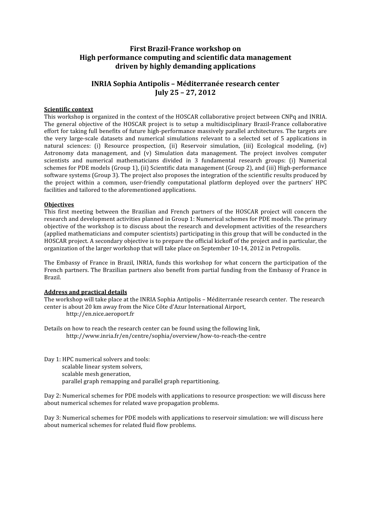# **First Brazil-France workshop on High performance computing and scientific data management driven by highly demanding applications**

# **INRIA Sophia Antipolis – Méditerranée research center July 25 – 27, 2012**

### **Scientific context**

This workshop is organized in the context of the HOSCAR collaborative project between CNPq and INRIA. The general objective of the HOSCAR project is to setup a multidisciplinary Brazil-France collaborative effort for taking full benefits of future high‐performance massively parallel architectures. The targets are the very large-scale datasets and numerical simulations relevant to a selected set of 5 applications in natural sciences: (i) Resource prospection, (ii) Reservoir simulation, (iii) Ecological modeling, (iv) Astronomy data management, and (v) Simulation data management. The project involves computer scientists and numerical mathematicians divided in 3 fundamental research groups: (i) Numerical schemes for PDE models (Group 1), (ii) Scientific data management (Group 2), and (iii) High-performance software systems (Group 3). The project also proposes the integration of the scientific results produced by the project within a common, user-friendly computational platform deployed over the partners' HPC facilities and tailored to the aforementioned applications.

#### **Objectives**

This first meeting between the Brazilian and French partners of the HOSCAR project will concern the research and development activities planned in Group 1: Numerical schemes for PDE models. The primary objective of the workshop is to discuss about the research and development activities of the researchers (applied mathematicians and computer scientists) participating in this group that will be conducted in the HOSCAR project. A secondary objective is to prepare the official kickoff of the project and in particular, the organization of the larger workshop that will take place on September 10‐14, 2012 in Petropolis.

The Embassy of France in Brazil, INRIA, funds this workshop for what concern the participation of the French partners. The Brazilian partners also benefit from partial funding from the Embassy of France in Brazil.

#### **Address and practical details**

The workshop will take place at the INRIA Sophia Antipolis – Méditerranée research center. The research center is about 20 km away from the Nice Côte d'Azur International Airport,

http://en.nice.aeroport.fr

Details on how to reach the research center can be found using the following link, http://www.inria.fr/en/centre/sophia/overview/how‐to‐reach‐the‐centre

Day 1: HPC numerical solvers and tools: scalable linear system solvers, scalable mesh generation, parallel graph remapping and parallel graph repartitioning.

Day 2: Numerical schemes for PDE models with applications to resource prospection: we will discuss here about numerical schemes for related wave propagation problems.

Day 3: Numerical schemes for PDE models with applications to reservoir simulation: we will discuss here about numerical schemes for related fluid flow problems.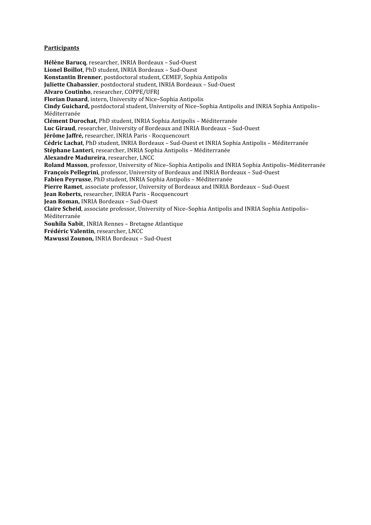### **Participants**

**Hélène Barucq**, researcher, INRIA Bordeaux – Sud‐Ouest **Lionel Boillot**, PhD student, INRIA Bordeaux – Sud‐Ouest **Konstantin Brenner**, postdoctoral student, CEMEF, Sophia Antipolis **Juliette Chabassier**, postdoctoral student, INRIA Bordeaux – Sud‐Ouest **Alvaro Coutinho**, researcher, COPPE/UFRJ **Florian Danard**, intern, University of Nice–Sophia Antipolis **Cindy Guichard,** postdoctoral student, University of Nice–Sophia Antipolis and INRIA Sophia Antipolis– Méditerranée **Clément Durochat,** PhD student, INRIA Sophia Antipolis – Méditerranée **Luc Giraud**, researcher, University of Bordeaux and INRIA Bordeaux – Sud‐Ouest **Jérôme Jaffré,** researcher, INRIA Paris ‐ Rocquencourt **Cédric Lachat**, PhD student, INRIA Bordeaux – Sud‐Ouest et INRIA Sophia Antipolis – Méditerranée **Stéphane Lanteri**, researcher, INRIA Sophia Antipolis – Méditerranée **Alexandre Madureira**, researcher, LNCC **Roland Masson**, professor, University of Nice–Sophia Antipolis and INRIA Sophia Antipolis–Méditerranée **François Pellegrini**, professor, University of Bordeaux and INRIA Bordeaux – Sud‐Ouest **Fabien Peyrusse**, PhD student, INRIA Sophia Antipolis – Méditerranée **Pierre Ramet**, associate professor, University of Bordeaux and INRIA Bordeaux – Sud‐Ouest **Jean Roberts,** researcher, INRIA Paris ‐ Rocquencourt **Jean Roman,** INRIA Bordeaux – Sud‐Ouest **Claire Scheid**, associate professor, University of Nice–Sophia Antipolis and INRIA Sophia Antipolis– Méditerranée **Souhila Sabit**, INRIA Rennes – Bretagne Atlantique **Frédéric Valentin**, researcher, LNCC **Mawussi Zounon,** INRIA Bordeaux – Sud‐Ouest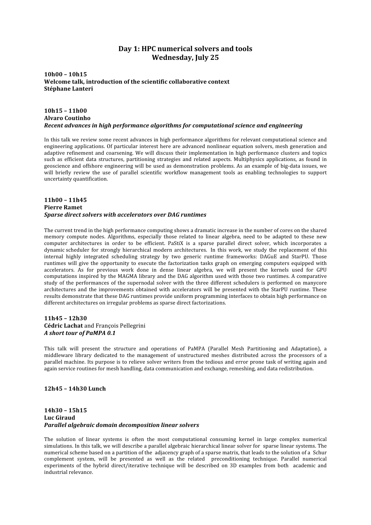# **Day 1: HPC numerical solvers and tools Wednesday, July 25**

**10h00 – 10h15 Welcome talk, introduction of the scientific collaborative context Stéphane Lanteri**

### **10h15 – 11h00 Alvaro Coutinho** *Recent advances in high performance algorithms for computational science and engineering*

In this talk we review some recent advances in high performance algorithms for relevant computational science and engineering applications. Of particular interest here are advanced nonlinear equation solvers, mesh generation and adaptive refinement and coarsening. We will discuss their implementation in high performance clusters and topics such as efficient data structures, partitioning strategies and related aspects. Multiphysics applications, as found in geoscience and offshore engineering will be used as demonstration problems. As an example of big-data issues, we will briefly review the use of parallel scientific workflow management tools as enabling technologies to support uncertainty quantification.

#### **11h00 – 11h45 Pierre Ramet** *Sparse direct solvers with accelerators over DAG runtimes*

The current trend in the high performance computing shows a dramatic increase in the number of cores on the shared memory compute nodes. Algorithms, especially those related to linear algebra, need to be adapted to these new computer architectures in order to be efficient. PaStiX is a sparse parallel direct solver, which incorporates a dynamic scheduler for strongly hierarchical modern architectures. In this work, we study the replacement of this internal highly integrated scheduling strategy by two generic runtime frameworks: DAGuE and StarPU. Those runtimes will give the opportunity to execute the factorization tasks graph on emerging computers equipped with accelerators. As for previous work done in dense linear algebra, we will present the kernels used for GPU computations inspired by the MAGMA library and the DAG algorithm used with those two runtimes. A comparative study of the performances of the supernodal solver with the three different schedulers is performed on manycore architectures and the improvements obtained with accelerators will be presented with the StarPU runtime. These results demonstrate that these DAG runtimes provide uniform programming interfaces to obtain high performance on different architectures on irregular problems as sparse direct factorizations.

#### **11h45 – 12h30 Cédric Lachat** and François Pellegrini *A short tour of PaMPA 0.1*

This talk will present the structure and operations of PaMPA (Parallel Mesh Partitioning and Adaptation), a middleware library dedicated to the management of unstructured meshes distributed across the processors of a parallel machine. Its purpose is to relieve solver writers from the tedious and error prone task of writing again and again service routines for mesh handling, data communication and exchange, remeshing, and data redistribution.

#### **12h45 – 14h30 Lunch**

#### **14h30 – 15h15 Luc Giraud** *Parallel algebraic domain decomposition linear solvers*

The solution of linear systems is often the most computational consuming kernel in large complex numerical simulations. In this talk, we will describe a parallel algebraic hierarchical linear solver for sparse linear systems. The numerical scheme based on a partition of the adjacency graph of a sparse matrix, that leads to the solution of a Schur complement system, will be presented as well as the related preconditioning technique. Parallel numerical experiments of the hybrid direct/iterative technique will be described on 3D examples from both academic and industrial relevance.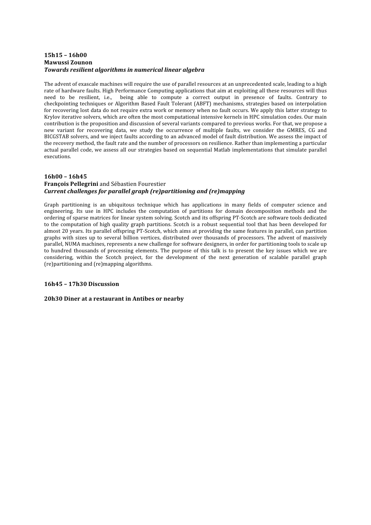#### **15h15 – 16h00 Mawussi Zounon** *Towards resilient algorithms in numerical linear algebra*

The advent of exascale machines will require the use of parallel resources at an unprecedented scale, leading to a high rate of hardware faults. High Performance Computing applications that aim at exploiting all these resources will thus need to be resilient, i.e., being able to compute a correct output in presence of faults. Contrary to checkpointing techniques or Algorithm Based Fault Tolerant (ABFT) mechanisms, strategies based on interpolation for recovering lost data do not require extra work or memory when no fault occurs. We apply this latter strategy to Krylov iterative solvers, which are often the most computational intensive kernels in HPC simulation codes. Our main contribution is the proposition and discussion of several variants compared to previous works. For that, we propose a new variant for recovering data, we study the occurrence of multiple faults, we consider the GMRES, CG and BICGSTAB solvers, and we inject faults according to an advanced model of fault distribution. We assess the impact of the recovery method, the fault rate and the number of processors on resilience. Rather than implementing a particular actual parallel code, we assess all our strategies based on sequential Matlab implementations that simulate parallel executions.

#### **16h00 – 16h45 François Pellegrini** and Sébastien Fourestier *Current challenges for parallel graph (re)partitioning and (re)mapping*

Graph partitioning is an ubiquitous technique which has applications in many fields of computer science and engineering. Its use in HPC includes the computation of partitions for domain decomposition methods and the ordering of sparse matrices for linear system solving. Scotch and its offspring PT‐Scotch are software tools dedicated to the computation of high quality graph partitions. Scotch is a robust sequential tool that has been developed for almost 20 years. Its parallel offspring PT‐Scotch, which aims at providing the same features in parallel, can partition graphs with sizes up to several billion vertices, distributed over thousands of processors. The advent of massively parallel, NUMA machines, represents a new challenge for software designers, in order for partitioning tools to scale up to hundred thousands of processing elements. The purpose of this talk is to present the key issues which we are considering, within the Scotch project, for the development of the next generation of scalable parallel graph (re)partitioning and (re)mapping algorithms.

### **16h45 – 17h30 Discussion**

#### **20h30 Diner at a restaurant in Antibes or nearby**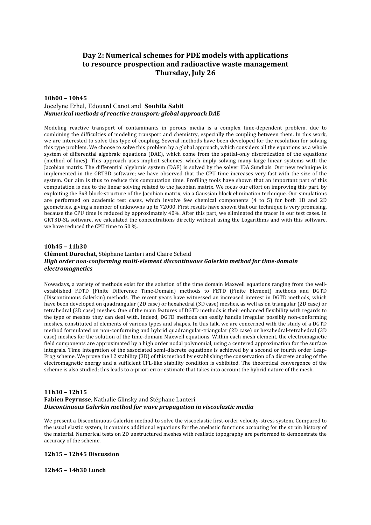# **Day 2: Numerical schemes for PDE models with applications to resource prospection and radioactive waste management Thursday, July 26**

#### **10h00 – 10h45** Jocelyne Erhel, Edouard Canot and **Souhila Sabit** *Numerical methods of reactive transport: global approach DAE*

Modeling reactive transport of contaminants in porous media is a complex time-dependent problem, due to combining the difficulties of modeling transport and chemistry, especially the coupling between them. In this work, we are interested to solve this type of coupling. Several methods have been developed for the resolution for solving this type problem. We choose to solve this problem by a global approach, which considers all the equations as a whole system of differential algebraic equations (DAE), which come from the spatial-only discretization of the equations (method of lines). This approach uses implicit schemes, which imply solving many large linear systems with the Jacobian matrix. The differential algebraic system (DAE) is solved by the solver IDA Sundials. Our new technique is implemented in the GRT3D software; we have observed that the CPU time increases very fast with the size of the system. Our aim is thus to reduce this computation time. Profiling tools have shown that an important part of this computation is due to the linear solving related to the Jacobian matrix. We focus our effort on improving this part, by exploiting the 3x3 block‐structure of the Jacobian matrix, via a Gaussian block elimination technique. Our simulations are performed on academic test cases, which involve few chemical components (4 to 5) for both 1D and 2D geometries, giving a number of unknowns up to 72000. First results have shown that our technique is very promising, because the CPU time is reduced by approximately 40%. After this part, we eliminated the tracer in our test cases. In GRT3D-SL software, we calculated the concentrations directly without using the Logarithms and with this software, we have reduced the CPU time to 50 %.

### **10h45 – 11h30 Clément Durochat**, Stéphane Lanteri and Claire Scheid *High order non-conforming multi-element discontinuous Galerkin method for time-domain electromagnetics*

Nowadays, a variety of methods exist for the solution of the time domain Maxwell equations ranging from the well‐ established FDTD (Finite Difference Time‐Domain) methods to FETD (Finite Element) methods and DGTD (Discontinuous Galerkin) methods. The recent vears have witnessed an increased interest in DGTD methods, which have been developed on quadrangular (2D case) or hexahedral (3D case) meshes, as well as on triangular (2D case) or tetrahedral (3D case) meshes. One of the main features of DGTD methods is their enhanced flexibility with regards to the type of meshes they can deal with. Indeed, DGTD methods can easily handle irregular possibly non‐conforming meshes, constituted of elements of various types and shapes. In this talk, we are concerned with the study of a DGTD method formulated on non‐conforming and hybrid quadrangular‐triangular (2D case) or hexahedral‐tetrahedral (3D case) meshes for the solution of the time‐domain Maxwell equations. Within each mesh element, the electromagnetic field components are approximated by a high order nodal polynomial, using a centered approximation for the surface integrals. Time integration of the associated semi-discrete equations is achieved by a second or fourth order Leap-Frog scheme. We prove the L2 stability (3D) of this method by establishing the conservation of a discrete analog of the electromagnetic energy and a sufficient CFL-like stability condition is exhibited. The theoretical convergence of the scheme is also studied; this leads to a‐priori error estimate that takes into account the hybrid nature of the mesh.

#### **11h30 – 12h15 Fabien Peyrusse**, Nathalie Glinsky and Stéphane Lanteri *Discontinuous Galerkin method for wave propagation in viscoelastic media*

We present a Discontinuous Galerkin method to solve the viscoelastic first-order velocity-stress system. Compared to the usual elastic system, it contains additional equations for the anelastic functions accouting for the strain history of the material. Numerical tests on 2D unstructured meshes with realistic topography are performed to demonstrate the accuracy of the scheme.

#### **12h15 – 12h45 Discussion**

#### **12h45 – 14h30 Lunch**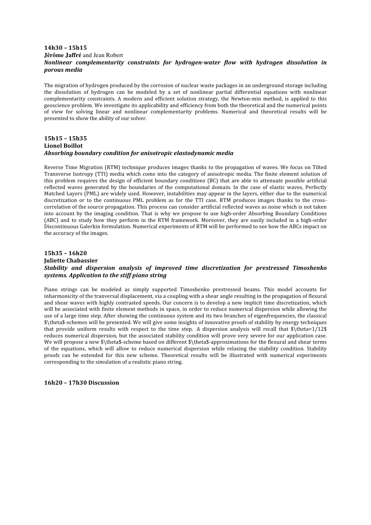#### **14h30 – 15h15 Jêrôme Jaffré** and Jean Robert *Nonlinear complementarity constraints for hydrogenwater flow with hydrogen dissolution in porous media*

The migration of hydrogen produced by the corrosion of nuclear waste packages in an underground storage including the dissolution of hydrogen can be modeled by a set of nonlinear partial differential equations with nonlinear complementarity constraints. A modern and efficient solution strategy, the Newton-min method, is applied to this geoscience problem. We investigate its applicability and efficiency from both the theoretical and the numerical points of view for solving linear and nonlinear complementarity problems. Numerical and theoretical results will be presented to show the ability of our solver.

#### **15h15 – 15h35 Lionel Boillot** *Absorbing boundary condition for anisotropic elastodynamic media*

Reverse Time Migration (RTM) technique produces images thanks to the propagation of waves. We focus on Tilted Transverse Isotropy (TTI) media which come into the category of anisotropic media. The finite element solution of this problem requires the design of efficient boundary conditions (BC) that are able to attenuate possible artificial reflected waves generated by the boundaries of the computational domain. In the case of elastic waves, Perfectly Matched Layers (PML) are widely used. However, instabilities may appear in the layers, either due to the numerical discretization or to the continuous PML problem as for the TTI case. RTM produces images thanks to the crosscorrelation of the source propagation. This process can consider artificial reflected waves as noise which is not taken into account by the imaging condition. That is why we propose to use high-order Absorbing Boundary Conditions (ABC) and to study how they perform in the RTM framework. Moreover, they are easily included in a high‐order Discontinuous Galerkin formulation. Numerical experiments of RTM will be performed to see how the ABCs impact on the accuracy of the images.

## **15h35 – 16h20 Juliette Chabassier** *Stability and dispersion analysis of improved time discretization for prestressed Timoshenko systems. Application to the stiff piano string*

Piano strings can be modeled as simply supported Timoshenko prestressed beams. This model accounts for inharmonicity of the tranversal displacement, via a coupling with a shear angle resulting in the propagation of flexural and shear waves with highly contrasted speeds. Our concern is to develop a new implicit time discretization, which will be associated with finite element methods in space, in order to reduce numerical dispersion while allowing the use of a large time step. After showing the continuous system and its two branches of eigenfrequencies, the classical \$\theta\$‐schemes will be presented. We will give some insights of innovative proofs of stability by energy techniques that provide uniform results with respect to the time step. A dispersion analysis will recall that  $\theta$  theta=1/12\$ reduces numerical dispersion, but the associated stability condition will prove very severe for our application case. We will propose a new \$\theta\$-scheme based on different \$\theta\$-approximations for the flexural and shear terms of the equations, which will allow to reduce numerical dispersion while relaxing the stability condition. Stability proofs can be extended for this new scheme. Theoretical results will be illustrated with numerical experiments corresponding to the simulation of a realistic piano string.

**16h20 – 17h30 Discussion**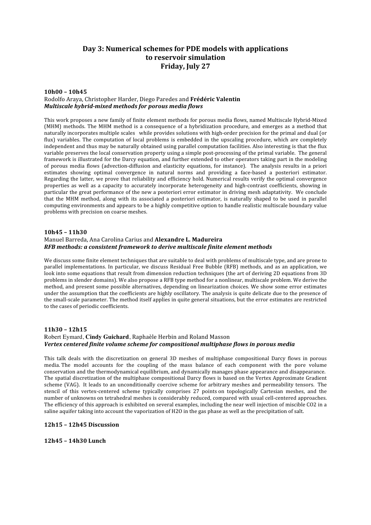# **Day 3: Numerical schemes for PDE models with applications to reservoir simulation Friday, July 27**

#### **10h00 – 10h45** Rodolfo Araya, Christopher Harder, Diego Paredes and **Frédéric Valentin** *Multiscale hybrid-mixed methods for porous media flows*

This work proposes a new family of finite element methods for porous media flows, named Multiscale Hybrid‐Mixed (MHM) methods. The MHM method is a consequence of a hybridization procedure, and emerges as a method that naturally incorporates multiple scales while provides solutions with high-order precision for the primal and dual (or flux) variables. The computation of local problems is embedded in the upscaling procedure, which are completely independent and thus may be naturally obtained using parallel computation facilities. Also interesting is that the flux variable preserves the local conservation property using a simple post-processing of the primal variable. The general framework is illustrated for the Darcy equation, and further extended to other operators taking part in the modeling of porous media flows (advection-diffusion and elasticity equations, for instance). The analysis results in a priori estimates showing optimal convergence in natural norms and providing a face-based a posteriori estimator. Regarding the latter, we prove that reliability and efficiency hold. Numerical results verify the optimal convergence properties as well as a capacity to accurately incorporate heterogeneity and high-contrast coefficients, showing in particular the great performance of the new a posteriori error estimator in driving mesh adaptativity. We conclude that the MHM method, along with its associated a posteriori estimator, is naturally shaped to be used in parallel computing environments and appears to be a highly competitive option to handle realistic multiscale boundary value problems with precision on coarse meshes.

#### **10h45 – 11h30** Manuel Barreda, Ana Carolina Carius and **Alexandre L. Madureira** *RFB methods: a consistent framework to derive multiscale finite element methods*

We discuss some finite element techniques that are suitable to deal with problems of multiscale type, and are prone to parallel implementations. In particular, we discuss Residual Free Bubble (RFB) methods, and as an application, we look into some equations that result from dimension reduction techniques (the art of deriving 2D equations from 3D problems in slender domains). We also propose a RFB type method for a nonlinear, multiscale problem. We derive the method, and present some possible alternatives, depending on linearization choices. We show some error estimates under the assumption that the coefficients are highly oscillatory. The analysis is quite delicate due to the presence of the small‐scale parameter. The method itself applies in quite general situations, but the error estimates are restricted to the cases of periodic coefficients.

#### **11h30 – 12h15**

## Robert Eymard, **Cindy Guichard**, Raphaèle Herbin and Roland Masson *Vertex centered finite volume scheme for compositional multiphase flows in porous media*

This talk deals with the discretization on general 3D meshes of multiphase compositional Darcy flows in porous media. The model accounts for the coupling of the mass balance of each component with the pore volume conservation and the thermodynamical equilibrium, and dynamically manages phase appearance and disappearance. The spatial discretization of the multiphase compositional Darcy flows is based on the Vertex Approximate Gradient scheme (VAG). It leads to an unconditionally coercive scheme for arbitrary meshes and permeability tensors. The stencil of this vertex-centered scheme typically comprises 27 points on topologically Cartesian meshes, and the number of unknowns on tetrahedral meshes is considerably reduced, compared with usual cell‐centered approaches. The efficiency of this approach is exhibited on several examples, including the near well injection of miscible CO2 in a saline aquifer taking into account the vaporization of H2O in the gas phase as well as the precipitation of salt.

#### **12h15 – 12h45 Discussion**

**12h45 – 14h30 Lunch**